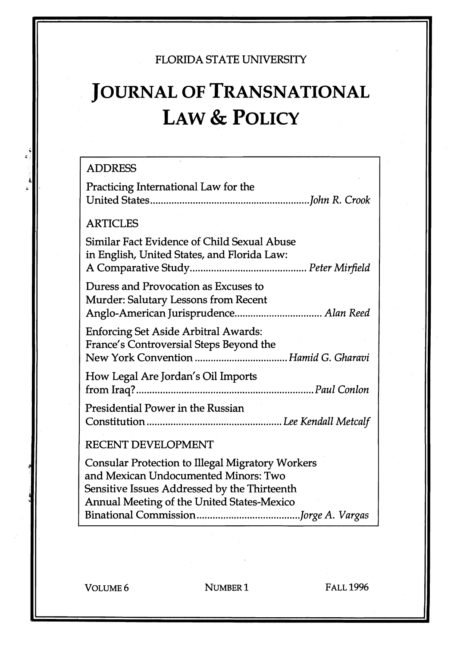# FLORIDA STATE UNIVERSITY

# **JOURNAL OF TRANSNATIONAL LAW** & **POLICY**

| <b>ADDRESS</b>                                                                                                                                                                                |
|-----------------------------------------------------------------------------------------------------------------------------------------------------------------------------------------------|
| Practicing International Law for the                                                                                                                                                          |
| <b>ARTICLES</b>                                                                                                                                                                               |
| Similar Fact Evidence of Child Sexual Abuse<br>in English, United States, and Florida Law:                                                                                                    |
| Duress and Provocation as Excuses to<br><b>Murder: Salutary Lessons from Recent</b>                                                                                                           |
| <b>Enforcing Set Aside Arbitral Awards:</b><br>France's Controversial Steps Beyond the                                                                                                        |
| How Legal Are Jordan's Oil Imports                                                                                                                                                            |
| Presidential Power in the Russian                                                                                                                                                             |
| <b>RECENT DEVELOPMENT</b>                                                                                                                                                                     |
| <b>Consular Protection to Illegal Migratory Workers</b><br>and Mexican Undocumented Minors: Two<br>Sensitive Issues Addressed by the Thirteenth<br>Annual Meeting of the United States-Mexico |

**f** 

**k**  f,

*a* 

**4**  s.

**VOLUME 6** NUMBER 1 FALL 1996

**L**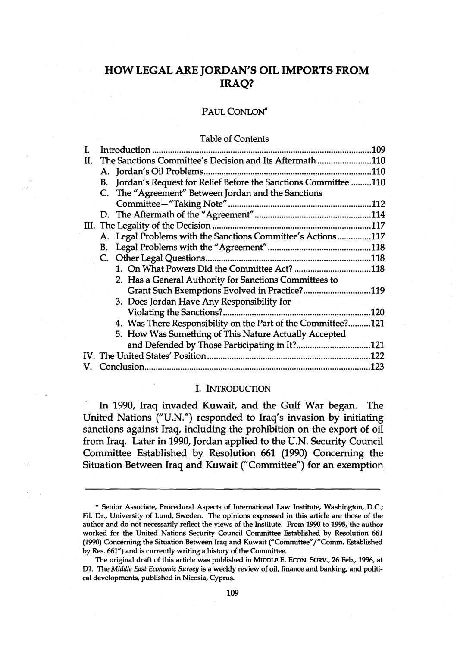# **HOW LEGAL ARE JORDAN'S OIL IMPORTS FROM IRAQ?**

#### PAUL CONLON<sup>\*</sup>

#### Table of Contents

|    | Introduction                                                   | .109 |
|----|----------------------------------------------------------------|------|
|    | II. The Sanctions Committee's Decision and Its Aftermath       | .110 |
|    | A. Jordan's Oil Problems.                                      | .110 |
| В. | Jordan's Request for Relief Before the Sanctions Committee 110 |      |
|    | C. The "Agreement" Between Jordan and the Sanctions            |      |
|    |                                                                | .112 |
|    |                                                                | .114 |
|    |                                                                | .117 |
|    | A. Legal Problems with the Sanctions Committee's Actions117    |      |
| В. |                                                                |      |
|    |                                                                | .118 |
|    |                                                                | .118 |
|    | 2. Has a General Authority for Sanctions Committees to         |      |
|    | Grant Such Exemptions Evolved in Practice?                     | .119 |
|    | 3. Does Jordan Have Any Responsibility for                     |      |
|    | Violating the Sanctions?<br>                                   | .120 |
|    | 4. Was There Responsibility on the Part of the Committee?.     | .121 |
|    | 5. How Was Something of This Nature Actually Accepted          |      |
|    |                                                                | .121 |
|    |                                                                | .122 |
|    |                                                                | .123 |

#### I. INTRODUCTION

In 1990, Iraq invaded Kuwait, and the Gulf War began. The United Nations ("U.N.") responded to Iraq's invasion by initiating sanctions against Iraq, including the prohibition on the export of oil from Iraq. Later in 1990, Jordan applied to the U.N. Security Council Committee Established by Resolution 661 (1990) Concerning the Situation Between Iraq and Kuwait ("Committee") for an exemption

<sup>\*</sup> Senior Associate, Procedural Aspects of International Law Institute, Washington, D.C.; Fil. Dr., University of Lund, Sweden. The opinions expressed in this article are those of the author and do not necessarily reflect the views of the Institute. From **1990** to **1995, the** author worked for the United Nations Security Council Committee Established by Resolution 661 (1990) Concerning the Situation Between Iraq and Kuwait ("Committee"/"Comm. Established by Res. 661") and is currently writing a history of the Committee.

The original draft of this article was published in **MIDDLE** E. ECON. SURV., 26 Feb., 1996, at Dl. The **Middle** *East Economic* **Survey** is a weekly review of oil, finance and banking, and political developments, published in Nicosia, Cyprus.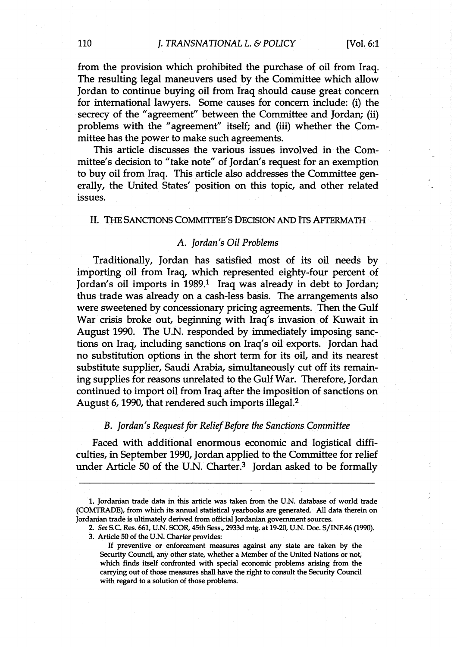from the provision which prohibited the purchase of oil from Iraq. The resulting legal maneuvers used by the Committee which allow Jordan to continue buying oil from Iraq should cause great concern for international lawyers. Some causes for concern include: (i) the secrecy of the "agreement" between the Committee and Jordan; (ii) problems with the "agreement" itself; and (iii) whether the Committee has the power to make such agreements.

This article discusses the various issues involved in the Committee's decision to "take note" of Jordan's request for an exemption to buy oil from Iraq. This article also addresses the Committee generally, the United States' position on this topic, and other related issues.

11. THE SANCTIONS COMMITTEE'S DECISION AND ITS AFTERMATH

#### **A.** Jordan's Oil Problems

Traditionally, Jordan has satisfied most of its oil needs by importing oil from Iraq, which represented eighty-four percent of Jordan's oil imports in 1989.<sup>1</sup> Iraq was already in debt to Jordan; thus trade was already on a cash-less basis. The arrangements also were sweetened by concessionary pricing agreements. Then the Gulf War crisis broke out, beginning with Iraq's invasion of Kuwait in August 1990. The U.N. responded by immediately imposing sanctions on Iraq, including sanctions on Iraq's oil exports. Jordan had no substitution options in the short term for its oil, and its nearest substitute supplier, Saudi Arabia, simultaneously cut off its remaining supplies for reasons unrelated to the Gulf War. Therefore, Jordan continued to import oil from Iraq after the imposition of sanctions on August 6,1990, that rendered such imports illegal.2

#### B. Jordan's Request for Relief Before the Sanctions Committee

Faced with additional enormous economic and logistical difficulties, in September 1990, Jordan applied to the Committee for relief under Article 50 of the U.N. Charter.<sup>3</sup> Jordan asked to be formally

<sup>1.</sup> Jordanian trade data in this article was taken from the U.N. database of world trade (COMTRADE), from which its annual statistical yearbooks are generated. All data therein on Jordanian trade is ultimately derived from official Jordanian government sources.

<sup>2.</sup> See S.C. Res. 661, U.N. SCOR, 45th Sess., 2933d mtg. at 19-20, U.N. **Doc.** S/INF.46 (1990).

<sup>3.</sup> Article 50 of the U.N. Charter provides:

If preventive or enforcement measures against any state are taken by the Security Council, any other state, whether a Member of the United Nations or not, which finds itself confronted with special economic problems arising from the carrying out of those measures shall have the right to consult the Security Council with regard to a solution of those problems.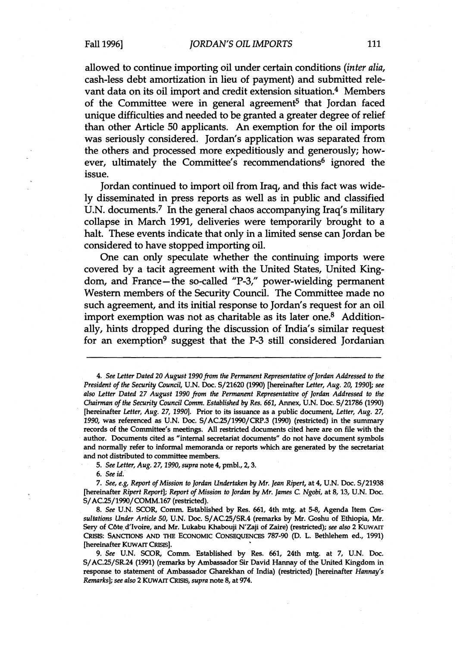allowed to continue importing oil under certain conditions (inter alia, cash-less debt amortization in lieu of payment) and submitted relevant data on its oil import and credit extension situation.<sup>4</sup> Members of the Committee were in general agreement<sup>5</sup> that Jordan faced unique difficulties and needed to be granted a greater degree of relief than other Article 50 applicants. An exemption for the oil imports was seriously considered. Jordan's application was separated from the others and processed more expeditiously and generously; however, ultimately the Committee's recommendations<sup>6</sup> ignored the issue.

Jordan continued to import oil from Iraq, and this fact was widely disseminated in press reports as well as in public and classified U.N. documents.<sup>7</sup> In the general chaos accompanying Iraq's military collapse in March 1991, deliveries were temporarily brought to a halt. These events indicate that only in a limited sense can Jordan be considered to have stopped importing oil.

One can only speculate whether the continuing imports were covered by a tacit agreement with the United States, United Kingdom, and France- the so-called **"P-3,"** power-wielding permanent Western members of the Security Council. The Committee made no such agreement, and its initial response to Jordan's request for an oil import exemption was not as charitable as its later one.8 Additionally, hints dropped during the discussion of India's similar request for an exemption9 suggest that the **P-3** still considered Jordanian

5. *See Letter, Aug. 27,1390, supra* note 4, pmbl., 2,3.

6. *See id.* 

7. *See, e.g, Report of Mission to Jordan Undertaken by Mr. Jean Ripert,* at 4, U.N. Doc. S/21938 [hereinafter *Ripert Report*]; Report of Mission to Jordan by Mr. James C. Ngobi, at 8, 13, U.N. Doc. S/AC.25/1990/COMM.167 (restricted).

8. *See* U.N. SCOR, Comm. Established by Res. 661, 4th mtg. at 5-8, Agenda Item *Consultations Under Article 50,* U.N. Doc. S/AC.25/SR.4 (remarks by Mr. Goshu of Ethiopia, Mr. **Sery** of CBte d'Ivoire, and Mr. Lukabu Khabouji N'Zaji of Zaire) (restricted); *see also* 2 *KUWAIT*  CRISIS: SANCTIONS AND THE ECONOMIC CONSEQUENCES 787-90 (D. L. Bethlehem ed., 1991) [hereinafter **KUWAIT** CRISIS].

9. *See* U.N. **SCOR,** Comm. Established by Res. 661, 24th mtg. at 7, U.N. Doc. S/AC.25/SR.24 (1991) (remarks by Ambassador Sir David Hannay of the United Kingdom in response to statement of Ambassador Gharekhan of India) (restricted) [hereinafter *Hannay's Remarks]; see also* 2 **KUWAIT** CRISIS, *supra* note 8, at 974.

<sup>4.</sup> See Letter Dated 20 August 1990 from the Permanent Representative of Jordan Addressed to the *President of the Security Council,* U.N. Doc. S/21620 (1990) [hereinafter *Letter, Aug. 20, 19901; see also Letter Dated 27 August 1990 from the Permanent Representative of Jordan Addressed to the Chairman of the Security Council Comm. Established by Res. 661,* Annex, U.N. Doc. S/21786 (1990) [hereinafter *Letter, Aug. 27, 19901.* Prior to its issuance as a public document, *Letter, Aug. 27, 1990,* was referenced as U.N. Doc. S/AC.25/1990/CRP.3 (1990) (restricted) in the summary records of the Committee's meetings. All restricted documents cited here are on fie with the author. Documents cited as "intemal secretariat documents" do not have document symbols and normally refer to informal memoranda or reports which are generated by the secretariat and not distributed to committee members.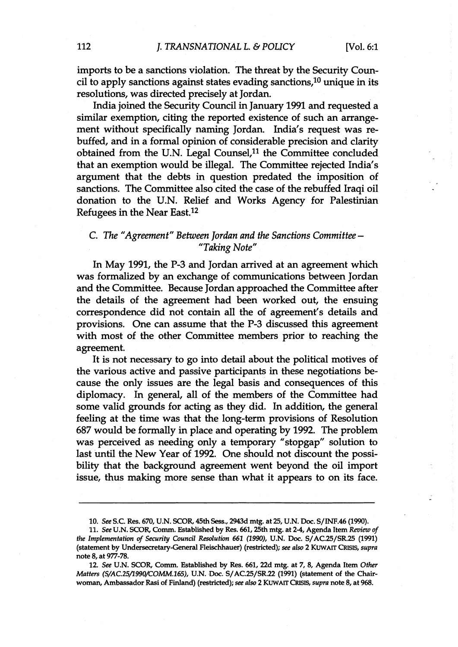imports to be a sanctions violation. The threat by the Security Council to apply sanctions against states evading sanctions, $10$  unique in its resolutions, was directed precisely at Jordan.

India joined the Security Council in January **1991** and requested a similar exemption, citing the reported existence of such an arrangement without specifically naming Jordan. India's request was rebuffed, and in a formal opinion of considerable precision and clarity obtained from the U.N. Legal Counsel,<sup>11</sup> the Committee concluded that an exemption would be illegal. The Committee rejected India's argument that the debts in question predated the imposition of sanctions. The Committee also cited the case of the rebuffed Iraqi oil donation to the U.N. Relief and Works Agency for Palestinian Refugees in the Near East.12

### *C. The "Agreement" Between Jordan and the Sanctions Committee – "Taking Note"*

In May **1991,** the P-3 and Jordan arrived at an agreement which was formalized by an exchange of communications between Jordan and the Committee. Because Jordan approached the Committee after the details of the agreement had been worked out, the ensuing correspondence did not contain all the of agreement's details and provisions. One can assume that the P-3 discussed this agreement with most of the other Committee members prior to reaching the agreement.

It is not necessary to go into detail about the political motives of the various active and passive participants in these negotiations because the only issues are the legal basis and consequences of this diplomacy. In general, all of the members of the Committee had some valid grounds for acting as they did. In addition, the general feeling at the time was that the long-term provisions of Resolution 687 would be formally in place and operating by **1992.** The problem was perceived as needing only a temporary "stopgap" solution to last until the New Year of **1992.** One should not discount the possibility that the background agreement went beyond the oil import issue, thus making more sense than what it appears to on its face.

<sup>10.</sup> *See* **S.C. Res. 670, U.N. SCOR, 6th Sess., 2943d mtg. at 25, U.N.** Doc. **S/INF.46** (1990).

<sup>11.</sup> *See* **U.N. SCOR, Comm. Established by Res.** 661,25th **mtg. at** 24, **Agenda Item** *Review* of *the Implementation* of *Security Council Resolution 661 (1990),* **U.N.** Doc. **S/AC.25/SR.25** (1991) **(statement by Undersecretary-General Fleischhauer) (restricted);** *see also* 2 **KUWAIT** *CRISIS, supra*  **note 8, at 977-78.** 

<sup>12.</sup> *See* **U.N. SCOR, Comm. Established by Res. 661, 22d mtg. at 7, 8, Agenda Item** *Other Matters* **(S/AC.25/1990/COMM.165), U.N.** Doc. **S/AC.25/SR.22** (1991) **(statement of the Chairwoman, Ambassador Rasi of Finland) (restricted);** *see also* **2 KUWAIT** CRISIS, *supra* **note** *8,* **at 968.**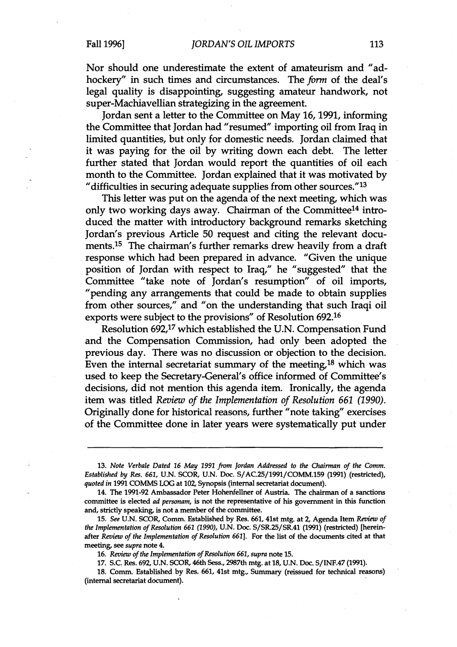Nor should one underestimate the extent of amateurism and "adhockery" in such times and circumstances. The *form* of the deal's legal quality is disappointing, suggesting amateur handwork, not super-Machiavellian strategizing in the agreement.

Jordan sent a letter to the Committee on May 16,1991, informing the Committee that Jordan had "resumed" importing oil from Iraq in limited quantities, but only for domestic needs. Jordan claimed that it was paying for the oil by writing down each debt. The letter further stated that Jordan would report the quantities of oil each month to the Committee. Jordan explained that it was motivated by "difficulties in securing adequate supplies from other sources."l3

This letter was put on the agenda of the next meeting, which was only two working days away. Chairman of the Committee<sup>14</sup> introduced the matter with introductory background remarks sketching Jordan's previous Article 50 request and citing the relevant documents.15 The chairman's further remarks drew heavily from a draft response which had been prepared in advance. "Given the unique position of Jordan with respect to Iraq," he "suggested" that the Committee "take note of Jordan's resumption" of oil imports, "pending any arrangements that could be made to obtain supplies from other sources," and "on the understanding that such Iraqi oil exports were subject to the provisions" of Resolution 692.16

Resolution 692,17 which established the U.N. Compensation Fund and the Compensation Commission, had only been adopted the previous day. There was no discussion or objection to the decision. Even the internal secretariat summary of the meeting, $18$  which was used to keep the Secretary-General's office informed of Committee's decisions, did not mention this agenda item. Ironically, the agenda item was titled **Review** *of the Implementation of Resolution* 661 (1990). Originally done for historical reasons, further "note taking" exercises of the Committee done in later years were systematically put under

13. Note Verbale Dated **16** May **1991** from lordan Addressed to the Chairman of the Comm. Established by Res. **661,** U.N. SCOR, U.N. Doc. S/AC.25/1991/COMM.159 (1991) (restricted), quoted in 1991 COMMS LOG at 102, Synopsis (internal secretariat document).

14. The 1991-92 Ambassador Peter Hohenfellner of Austria. The chairman of a sanctions committee is elected ad personam, is not the representative of his government in this function and, strictly speaking, is not a member of the committee.

15. See U.N. SCOR, **Comm.** Established by Res. 661,41st mtg. at **2,** Agenda Item Review of the Implementation of Resolution **661 (1990),** U.N. Doc. S/SR.25/SR.41 (1991) (restricted) [hereinafter Review of the Implementation of Resolution **6611.** For the list of the documents cited at that meeting, see supra note 4.

16. Review of the Implementation of Resolution 661, supra note 15.

17. S.C. Res. 692, U.N. SCOR, 46th Sess., 2987th mtg. at 18, U.N. Doc. S/INF.47 (1991).

18. Comm. Established by Res. 661, 41st mtg., Summary (reissued for technical reasons) (internal secretariat document).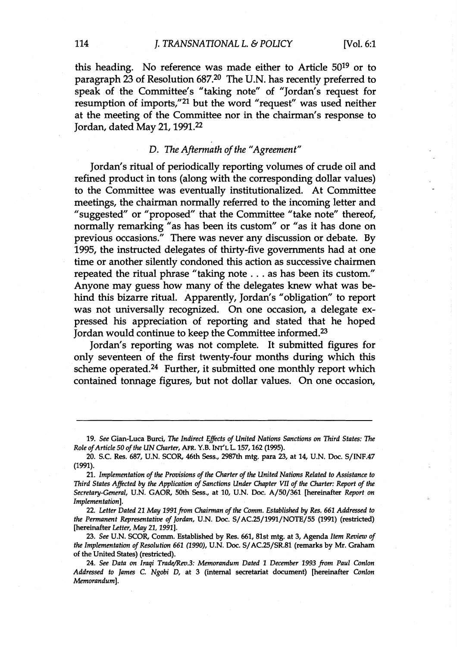#### 114 *J. TRANSNATIONAL L. & POLICY* [Vol. 6:1

this heading. No reference was made either to Article 5019 or to paragraph 23 of Resolution 687.20 The U.N. has recently preferred to speak of the Committee's "taking note" of "Jordan's request for resumption of imports,"<sup>21</sup> but the word "request" was used neither at the meeting of the Committee nor in the chairman's response to Jordan, dated May 21,1991.22

# *D. The Aftermath of the "Agreement"*

Jordan's ritual of periodically reporting volumes of crude oil and refined product in tons (along with the corresponding dollar values) to the Committee was eventually institutionalized. At Committee meetings, the chairman normally referred to the incoming letter and "suggested" or "proposed" that the Committee "take note" thereof, normally remarking "as has been its custom" or "as it has done on previous occasions." There was never any discussion or debate. By 1995, the instructed delegates of thirty-five governments had at one time or another silently condoned this action as successive chairmen repeated the ritual phrase "taking note . . . as has been its custom." Anyone may guess how many of the delegates knew what was behind this bizarre ritual. Apparently, Jordan's "obligation" to report was not universally recognized. On one occasion, a delegate expressed his appreciation of reporting and stated that he hoped Jordan would continue to keep the Committee informed.23

Jordan's reporting was not complete. It submitted figures for only seventeen of the first twenty-four months during which this scheme operated.<sup>24</sup> Further, it submitted one monthly report which contained tonnage figures, but not dollar values. On one occasion,

<sup>19.</sup> *See* Gian-Luca Burci, *The Indirect Effects of United Nations Sanctions on Third States: The Role of Article 50 of the UN Charter,* AFR. Y.B. **INI'L L.** 157,162 (1995).

<sup>20.</sup> S.C. Res. 687, U.N. SCOR, 46th Sess., 2987th mtg. para 23, at 14, U.N. *Doc.* S/INF.47 (1991).

<sup>21.</sup> *Implementation of the Provisions of the Charter of the United Nations Related to Assistance to Third States Affected by the Application of Sanctions Under Chapter VII of the Charter: Report of the Secretary-General,* U.N. GAOR, 50th Sess., at 10, U.N. *Doc.* A/50/361 [hereinafter *Report on Implementation].* 

<sup>22.</sup> *Letter Dated 21 May 1991 from Chairman of the Comm. Established by Res. 661 Addressed to the Permanent Representative of Jordan,* U.N. *Doc.* S/AC.25/1991/NOTE/55 (1991) (restricted) [hereinafter *Letter*, *May* 21, 1991].

<sup>23.</sup> *See* U.N. **SCOR, Comm.** Established by Res. 661,81st mtg. at 3, Agenda *Item Review of the Implementation of Resolution 661 (1990),* U.N. *Doc.* S/AC.25/SR.81 (remarks by Mr. Graham of the United States) (restricted).

<sup>24.</sup> *See Data on Iraqi Trade/Rev.3: Memorandum Dated 1 December 1993 from Paul Conlon Addressed to James C. Ngobi D,* at *3* (internal secretariat document) [hereinafter *Conlon Memorandum].*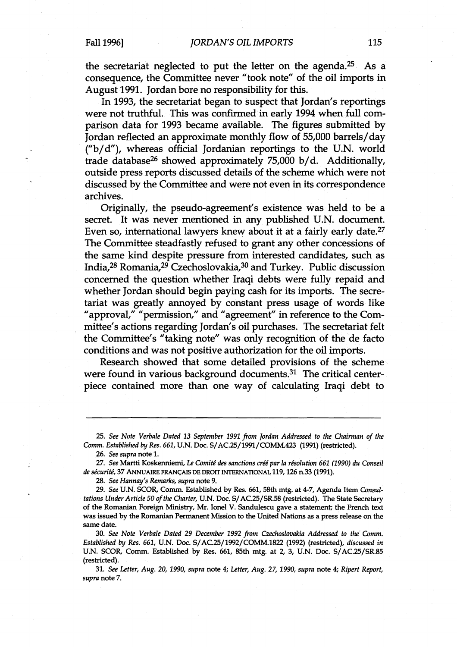the secretariat neglected to put the letter on the agenda. $25$  As a consequence, the Committee never "took note" of the oil imports in August 1991. Jordan bore no responsibility for this.

In 1993, the secretariat began to suspect that Jordan's reportings were not truthful. This was confirmed in early 1994 when **full** comparison data for 1993 became available. The figures submitted by Jordan reflected an approximate monthly flow of 55,000 barrels/day  $($ "b/d"), whereas official Jordanian reportings to the U.N. world trade database<sup>26</sup> showed approximately  $75,000$  b/d. Additionally, outside press reports discussed details of the scheme which were not discussed by the Committee and were not even in its correspondence archives.

Originally, the pseudo-agreement's existence was held to be a secret. It was never mentioned in any published **U.N.** document. Even so, international lawyers knew about it at a fairly early date.<sup>27</sup> The Committee steadfastly refused to grant any other concessions of the same kind despite pressure from interested candidates, such as India,<sup>28</sup> Romania,<sup>29</sup> Czechoslovakia,<sup>30</sup> and Turkey. Public discussion concerned the question whether Iraqi debts were fully repaid and whether Jordan should begin paying cash for its imports. The secretariat was greatly annoyed by constant press usage of words like "approval," "permission," and "agreement" in reference to the Committee's actions regarding Jordan's oil purchases. The secretariat felt the Committee's "taking note" was only recognition of the de facto conditions and was not positive authorization for the oil imports.

Research showed that some detailed provisions of the scheme were found in various background documents. $31$  The critical centerpiece contained more than one way of calculating Iraqi debt to

28. *See Hannay's Remarks, supra* **note 9.** 

**29.** *See* **U.N. SCOR, Comm. Established by Res. 661,58th mtg. at 4-7, Agenda Item** *Consultations Under Article 50 of the Charter,* **U.N. Doc. S/AC.25/SR.58 (restricted). The State Secretary of the Romanian Foreign Ministry, Mr. Ionel V. Sandulescu gave a statement; the French text was issued by the Romanian Permanent Mission to the United Nations as a press release on the same date.** 

30. See Note Verbale Dated 29 December 1992 from Czechoslovakia Addressed to the Comm. *Established by Res. 661,* **U.N. Doc. S/AC.%/1992/COMM.1822 (1992) (restricted),** *discussed in*  **U.N. SCOR, Comm. Established by Res. 661, 85th mtg. at 2, 3, U.N. Doc. S/AC.25/SR.85 (restricted).** 

**31.** *See Letter, Aug. 20, 1990, supra* **note 4;** *Letter, Aug. 27, 1990, supra* **note 4;** *Ripert Report, supra* **note 7.** 

*<sup>25.</sup> See Note Verbale Dated 13 September 1991 from lordan Addressed to the Chairman of the Comm. Established by Res. 661,* **U.N. Doc. S/AC.25/1991/COMM.423 (1991) (restricted).** 

**<sup>26.</sup>** *See supra* **note 1.** 

**<sup>27.</sup>** *See* **Martti Koskenniemi,** *Le Comiti des sanctions crii par la risolution 661 (1990) du Conseil de sicuriti,* **37 ANNUAIRE FRANWIS DE DROIT INTERNATIONAL 119,126 n.33 (1991).**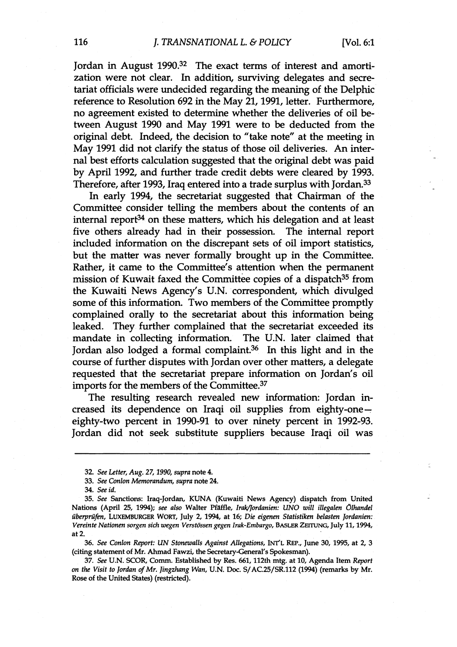Jordan in August 1990.<sup>32</sup> The exact terms of interest and amortization were not clear. In addition, surviving delegates and secretariat officials were undecided regarding the meaning of the Delphic reference to Resolution 692 in the May 21,1991, letter. Furthermore, no agreement existed to determine whether the deliveries of oil between August 1990 and May 1991 were to be deducted from the original debt. Indeed, the decision to "take note" at the meeting in May 1991 did not clarify the status of those oil deliveries. An internal best efforts calculation suggested that the original debt was paid by April 1992, and further trade credit debts were cleared by 1993. Therefore, after 1993, Iraq entered into a trade surplus with Jordan.33

In early 1994, the secretariat suggested that Chairman of the Committee consider telling the members about the contents of an internal report $34$  on these matters, which his delegation and at least five others already had in their possession. The internal report included information on the discrepant sets of oil import statistics, but the matter was never formally brought up in the Committee. Rather, it came to the Committee's attention when the permanent mission of Kuwait faxed the Committee copies of a dispatch35 from the Kuwaiti News Agency's U.N. correspondent, which divulged some of this information. Two members of the Committee promptly complained orally to the secretariat about this information being leaked. They further complained that the secretariat exceeded its mandate in collecting information. The U.N. later claimed that Jordan also lodged a formal complaint.<sup>36</sup> In this light and in the course of further disputes with Jordan over other matters, a delegate requested that the secretariat prepare information on Jordan's oil imports for the members of the Committee.37

The resulting research revealed new information: Jordan increased its dependence on Iraqi oil supplies from eighty-oneeighty-two percent in 1990-91 to over ninety percent in 1992-93. Jordan did not seek substitute suppliers because Iraqi oil was

*34. See id.* 

36. *See Conlon Report: UN Stonewalls Against Allegations,* **INT'L REP., June** 30, **1995, at 2,** 3 **(citing statement of Mr. Ahmad Fawzi, the Secretary-General's Spokesman).** 

37. *See* **U.N. SCOR, Cornm. Established by Res. 661,112th mtg. at 10, Agenda Item** *Report on the Visit to Jordan of Mr. Jingzhng Wan,* **U.N. Doc. S/AC.25/SR.112 (1994) (remarks by Mr. Rose of the United States) (restricted).** 

<sup>32.</sup> *See Letter, Aug. 27, 1990, supra* **note** *4.* 

<sup>33.</sup> *See Conlon Memorandum, supra* **note** *24.* 

<sup>35.</sup> *See* **Sanctions: Iraq-Jordan, KUNA (Kuwaiti News Agency) dispatch from United Nations (April 25, 1994);** *see also* **Walter Pfgfle,** *Iralc/Jordanien:* **UNO** *will illegalen Olhndel uberpriifen,* **LUXEMBURGER WORT, July 2, 1994, at 16; Die** *eigenen Statistiken belasten Jordanien: Vereinte Nationen sorgen sich wegen Verstossen gegen Irak-Embargo,* **BA~LER ZEITUNG,** *July* **11,1994, at 2.**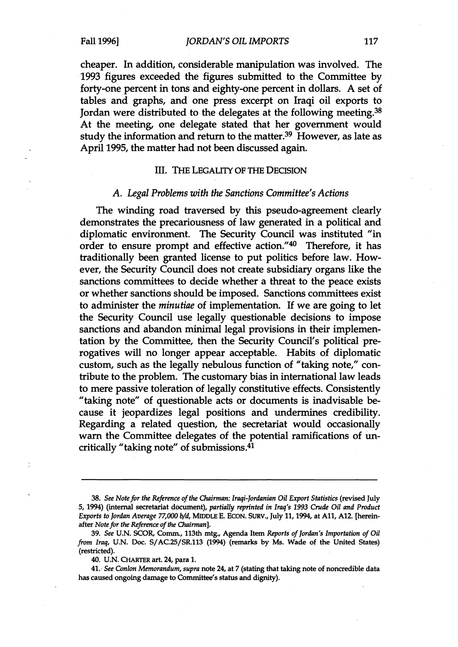cheaper. In addition, considerable manipulation was involved. The 1993 figures exceeded the figures submitted to the Committee by forty-one percent in tons and eighty-one percent in dollars. A set of tables and graphs, and one press excerpt on Iraqi oil exports to Jordan were distributed to the delegates at the following meeting.38 At the meeting, one delegate stated that her government would study the information and return to the matter.<sup>39</sup> However, as late as April 1995, the matter had not been discussed again.

#### 111. THE **LEGALITY** OF THE DECISION

#### A. Legal Problems with the Sanctions Committee's Actions

The winding road traversed by this pseudo-agreement clearly demonstrates the precariousness of law generated in a political and diplomatic environment. The Security Council was instituted "in order to ensure prompt and effective action."<sup>40</sup> Therefore, it has traditionally been granted license to put politics before law. However, the Security Council does not create subsidiary organs like the sanctions committees to decide whether a threat to the peace exists or whether sanctions should be imposed. Sanctions committees exist to administer the minutiae of implementation. If we are going to let the Security Council use legally questionable decisions to impose sanctions and abandon minimal legal provisions in their implementation by the Committee, then the Security Council's political prerogatives will no longer appear acceptable. Habits of diplomatic custom, such as the legally nebulous function of "taking note," contribute to the problem. The customary bias in international law leads to mere passive toleration of legally constitutive effects. Consistently "taking note" of questionable acts or documents is inadvisable because it jeopardizes legal positions and undermines credibility. Regarding a related question, the secretariat would occasionally warn the Committee delegates of the potential ramifications of uncritically "taking note" of submissions.<sup>41</sup>

41. *See Conlon Memorandum, supra* **note** 24, **at 7 (stating that taking note of noncredible data**  has caused ongoing damage to Committee's status and dignity).

<sup>38.</sup> *See Notefor the Reference of the Chairman: Iraqi-Jordanian Oil Export Statistics* **(revised July**  *5,* 1994) **(internal secretariat document),** *partially reprinted in Iraq's 1993* **Crude** *Oil and Product*  Exports to Jordan Average 77,000 b/d, MIDDLE E. ECON. SURV., July 11, 1994, at A11, A12. [hereinafter *Note for the Reference of the Chairman*].

<sup>39.</sup> *See* U.N. **SCOR, Comm.,** 113th **mtg., Agenda Item** *Reports of Jordrm's Importation of Oil from Iraq,* U.N. **Doc. S/AC.25/SR.113** (1994) **(remarks by Ms. Wade of the United States) (restricted).** 

<sup>40.</sup> U.N. **CHARTER art.** 24, **para** 1.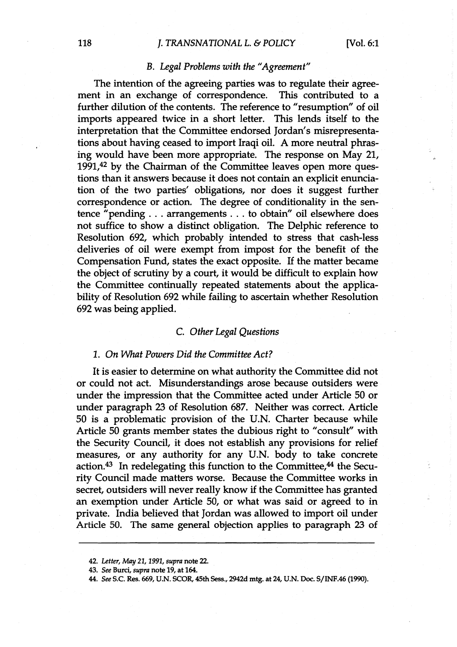#### *B. Legal Problems with the "Agreement"*

The intention of the agreeing parties was to regulate their agreement in an exchange of correspondence. This contributed to a further dilution of the contents. The reference to "resumption" of oil imports appeared twice in a short letter. This lends itself to the interpretation that the Committee endorsed Jordan's misrepresentations about having ceased to import Iraqi oil. A more neutral phrasing would have been more appropriate. The response on May 21, 1991,<sup>42</sup> by the Chairman of the Committee leaves open more questions than it answers because it does not contain an explicit enunciation of the two parties' obligations, nor does it suggest further correspondence or action. The degree of conditionality in the sentence "pending . . . arrangements . . . to obtain" oil elsewhere does not suffice to show a distinct obligation. The Delphic reference to Resolution 692, which probably intended to stress that cash-less deliveries of oil were exempt from impost for the benefit of the Compensation Fund, states the exact opposite. If the matter became the object of scrutiny by a court, it would be difficult to explain how the Committee continually repeated statements about the applicability of Resolution 692 while failing to ascertain whether Resolution 692 was being applied.

#### *C. Other Legal Questions*

#### *1. On What Powers* **Did** *the Committee Act?*

It is easier to determine on what authority the Committee did not or could not act. Misunderstandings arose because outsiders were under the impression that the Committee acted under Article 50 or under paragraph 23 of Resolution 687. Neither was correct. Article 50 is a problematic provision of the U.N. Charter because while Article 50 grants member states the dubious right to "consult" with the Security Council, it does not establish any provisions for relief measures, or any authority for any **U.N.** body to take concrete action. $43$  In redelegating this function to the Committee, $44$  the Security Council made matters worse. Because the Committee works in secret, outsiders will never really know if the Committee has granted an exemption under Article 50, or what was said or agreed to in private. India believed that Jordan was allowed to import oil under Article 50. The same general objection applies to paragraph 23 of

<sup>42.</sup> *Letter,* May *21, 1991, supra* note **22.** 

<sup>43.</sup> *See* **Burci,** *supra* note 19, *at* 164.

<sup>44.</sup> *See* **S.C. Res.** 669, **U.N. SCOR,** 45th **Sess.,** 2942d **mtg. at** 24, **U.N. Doc.** S/INF.46 (1990).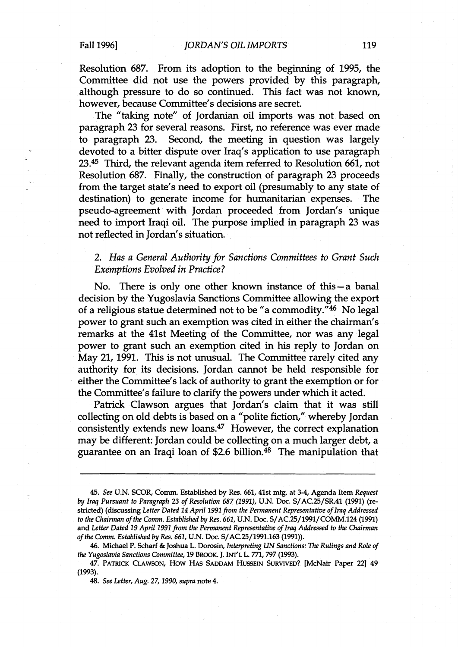#### *Fall* 19961 *JORDAN'S OIL IMPORTS* 119

Resolution 687. From its adoption to the beginning of 1995, the Committee did not use the powers provided by this paragraph, although pressure to do so continued. This fact was not known, however, because Committee's decisions are secret.

The "taking note" of Jordanian oil imports was not based on paragraph 23 for several reasons. First, no reference was ever made to paragraph 23. Second, the meeting in question was largely devoted to a bitter dispute over Iraq's application to use paragraph 23.45 Third, the relevant agenda item referred to Resolution 661, not Resolution **687.** Finally, the construction of paragraph 23 proceeds from the target state's need to export oil (presumably to any state of destination) to generate income for humanitarian expenses. The pseudo-agreement with Jordan proceeded from Jordan's unique need to import Iraqi oil. The purpose implied in paragraph 23 was not reflected in Jordan's situation.

### *2. Has a General Authority for Sanctions Committees to Grant Such Exemptions Evolved in Practice?*

No. There is only one other known instance of this-a banal decision by the Yugoslavia Sanctions Committee allowing the export of a religious statue determined not to be "a commodity."46 No legal power to grant such an exemption was cited in either the chairman's remarks at the 41st Meeting of the Committee, nor was any legal power to grant such an exemption cited in his reply to Jordan on May 21, 1991. This is not unusual. The Committee rarely cited any authority for its decisions. Jordan cannot be held responsible for either the Committee's lack of authority to grant the exemption or for the Committee's failure to clarify the powers under which it acted.

Patrick Clawson argues that Jordan's claim that it was still collecting on old debts is based on a "polite fiction," whereby Jordan consistently extends new loans.<sup>47</sup> However, the correct explanation may be different: Jordan could be collecting on a much larger debt, a guarantee on an Iraqi loan of \$2.6 billion.<sup>48</sup> The manipulation that

<sup>45.</sup> *See* **U.N.** SCOR, Comm. Established by Res. 661,41st mtg. at 3-4, Agenda Item *Request*  by *Iraq Pursuant to Paragraph* **23** *of Resolution 687 (1991),* **U.N.** Doc. S/AC.25/SR.41 (1991) (restricted) (discussing *Letter Dated 14 April 1991 from the Permanent Representative of Iraq Addressed*  to the Chairman of the Comm. Established by Res. 661, U.N. Doc. S/AC.25/1991/COMM.124 (1991) and *Letter Dated 19 April 1991 from the Permanent Representative of Iraq Addressed to the Chairman of the Comm. Established by Res. 661,* **U.N.** Doc. S/AC.25/1991.163 (1991)).

<sup>46.</sup> Michael P. Scharf &Joshua L. Dorosin, *Interpreting* UN *Sanctions: The Rulings and Role of the Yugoslavia Sanctions Committee,* 19 BROOK. J. INT'L L. 77l, 797 (1993).

<sup>47.</sup> PATRICK CLAWSON, HOW HAS SADDAM HUSSEIN SURVIVED? **[McNair** Paper **221** 49 (1993).

<sup>48.</sup> *See Letter, Aug. 27, 1990, supra* note **4.**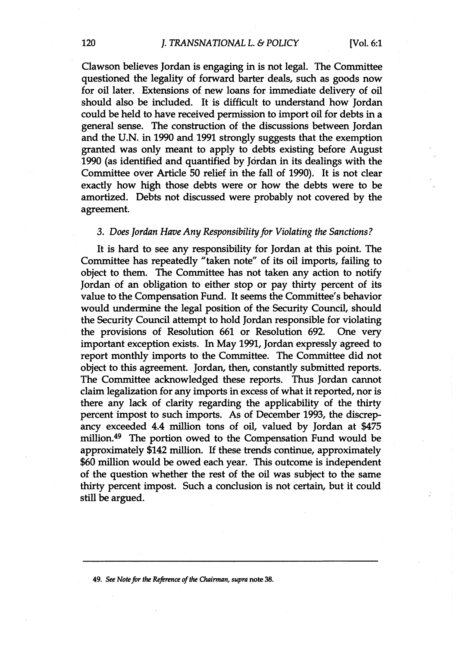Clawson believes Jordan is engaging in is not legal. The Committee questioned the legality of forward barter deals, such as goods now for oil later. Extensions of new loans for immediate delivery of oil should also be included. It is difficult to understand how Jordan could be held to have received permission to import oil for debts in a general sense. The construction of the discussions between Jordan and the U.N. in 1990 and 1991 strongly suggests that the exemption granted was only meant to apply to debts existing before August 1990 (as identified and quantified by Jordan in its dealings with the Committee over Article 50 relief in the fall of 1990). It is not clear exactly how high those debts were or how the debts were to be amortized. Debts not discussed were probably not covered by the agreement.

### *3. Does Jordan Have Any Responsibility for Violating the Sanctions?*

It is hard to see any responsibility for Jordan at this point. The Committee has repeatedly "taken note" of its oil imports, failing to object to them. The Committee has not taken any action to notify Jordan of an obligation to either stop or pay thirty percent of its value to the Compensation Fund. It seems the Committee's behavior would undermine the legal position of the Security Council, should the Security Council attempt to hold Jordan responsible for violating the provisions of Resolution 661 or Resolution 692. One very important exception exists. In May 1991, Jordan expressly agreed to report monthly imports to the Committee. The Committee did not object to this agreement. Jordan, then, constantly submitted reports. The Committee acknowledged these reports. Thus Jordan cannot claim legalization for any imports in excess of what it reported, nor is there any lack of clarity regarding the applicability of the thirty percent impost to such imports. As of December 1993, the discrepancy exceeded 4.4 million tons of oil, valued by Jordan at \$475 million.49 The portion owed to the Compensation Fund would be approximately \$142 million. If these trends continue, approximately \$60 million would be owed each year. This outcome is independent of the question whether the rest of the oil was subject to the same thirty percent impost. Such a conclusion is not certain, but it could still be argued.

49. *See Notefir* **the** *Reference of the Chainnun, supra* **note** *38.*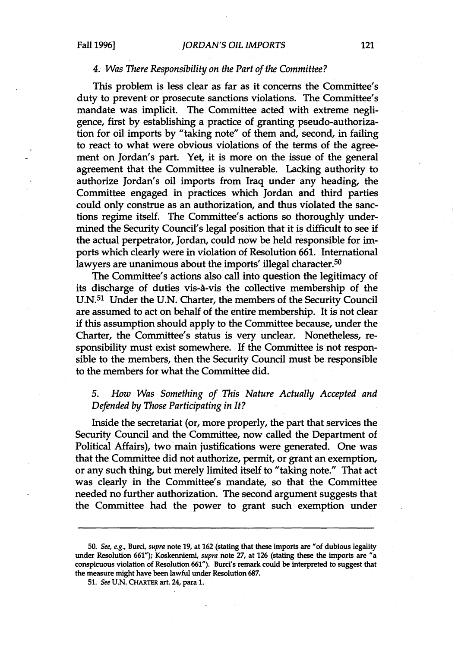#### *4. Was There Responsibility on the Part of the Committee?*

This problem is less clear as far as it concerns the Committee's duty to prevent or prosecute sanctions violations. The Committee's mandate was implicit. The Committee acted with extreme negligence, first by establishing a practice of granting pseudo-authorization for oil imports by "taking note" of them and, second, in failing to react to what were obvious violations of the terms of the agreement on Jordan's part. Yet, it is more on the issue of the general agreement that the Committee is vulnerable. Lacking authority to authorize Jordan's oil imports from Iraq under any heading, the Committee engaged in practices which Jordan and third parties could only construe as an authorization, and thus violated the sanctions regime itself. The Committee's actions so thoroughly undermined the Security Council's legal position that it is difficult to see if the actual perpetrator, Jordan, could now be held responsible for imports which clearly were in violation of Resolution 661. International lawyers are unanimous about the imports' illegal character.<sup>50</sup>

The Committee's actions also call into question the legitimacy of its discharge of duties vis-A-vis the collective membership of the U.N.51 Under the U.N. Charter, the members of the Security Council are assumed to act on behalf of the entire membership. It is not clear if this assumption should apply to the Committee because, under the Charter, the Committee's status is very unclear. Nonetheless, responsibility must exist somewhere. If the Committee is not responsible to the members, then the Security Council must be responsible to the members for what the Committee did.

## 5. *How Was Something of This Nature Actually Accepted and Defended by Those Participating in It?*

Inside the secretariat (or, more properly, the part that services the Security Council and the Committee, now called the Department of Political Affairs), two main justifications were generated. One was that the Committee did not authorize, permit, or grant an exemption, or any such thing, but merely limited itself to "taking note." That act was clearly in the Committee's mandate, so that the Committee needed no further authorization. The second argument suggests that the Committee had the power to grant such exemption under

<sup>50.</sup> **See, e.g., Burci,** *supra* **note** 19, **at** 162 **(stating that these imports are "of dubious legality under Resolution** 661"); **Koskenniemi,** *supra* **note** 27, **at** 126 **(stating these the imports are "a conspicuous violation of Resolution** 661"). **Burci's remark could be interpreted to suggest that the measure might have been lawful under Resolution** 687.

<sup>51.</sup> See U.N. **CHARTER art.** 24, **para** 1.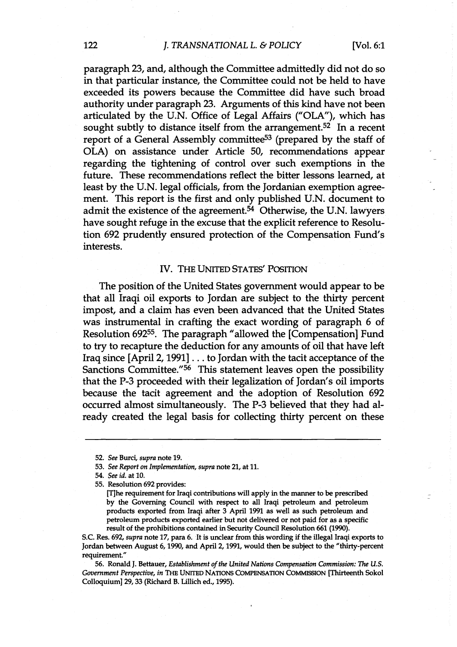paragraph 23, and, although the Committee admittedly did not do so in that particular instance, the Committee could not be held to have exceeded its powers because the Committee did have such broad authority under paragraph 23. Arguments of this kind have not been articulated by the U.N. Office of Legal Affairs ("OLA"), which has sought subtly to distance itself from the arrangement.<sup>52</sup> In a recent report of a General Assembly committee<sup>53</sup> (prepared by the staff of OLA) on assistance under Article 50, recommendations appear regarding the tightening of control over such exemptions in the future. These recommendations reflect the bitter lessons learned, at least by the U.N. legal officials, from the Jordanian exemption agreement. This report is the first and only published U.N. document to admit the existence of the agreement. $54$  Otherwise, the U.N. lawyers have sought refuge in the excuse that the explicit reference to Resolution 692 prudently ensured protection of the Compensation Fund's interests.

#### **IV.** THE UNITED STATES' POSITION

The position of the United States government would appear to be that all Iraqi oil exports to Jordan are subject to the thirty percent impost, and a claim has even been advanced that the United States was instrumental in crafting the exact wording of paragraph 6 of Resolution 69255. The paragraph "allowed the [Compensation] Fund to **try** to recapture the deduction for any amounts of oil that have left Iraq since [April 2, 1991] . . . to Jordan with the tacit acceptance of the Sanctions Committee."56 This statement leaves open the possibility that the P-3 proceeded with their legalization of Jordan's oil imports because the tacit agreement and the adoption of Resolution 692 occurred almost simultaneously. The P-3 believed that they had already created the legal basis for collecting thirty percent on these

**S.C. Res.** 692, *supra* **note** 17, **para** 6. **It is unclear from this wording if the illegal Iraqi exports to Jordan between August** 6,1990, **and April** 2,1991, **would then be subject to the "thirty-percent requirement."** 

56. **Ronald J. Bettauer,** *Establishment of the United Nations Compensation Commission: The U.S. Government Perspective, in THE* **UNITED NATIONS COMPENSATION COMMISSION [Thirteenth Sokol Colloquium]** 29,33 **(Richard B. Lillich ed.,** 1995).

<sup>52.</sup> *See* **Burci,** *supra* **note** 19.

<sup>53.</sup> *See Report on Implementation, supra* **note** 21, **at** 11.

<sup>54.</sup> *See id.* **at** 10.

<sup>55.</sup> **Resolution** 692 **provides:** 

**<sup>[</sup>Tjhe requirement for Iraqi contributions will apply in the manner to be prescribed by the Governing Council with respect to all Iraqi petroleum and petroleum products exported from Iraqi after** 3 **April** 1991 **as well as such petroleum and petroleum products exported earlier but not delivered or not paid for as a specific result of the prohibitions contained in Security Council Resolution** 661 (1990).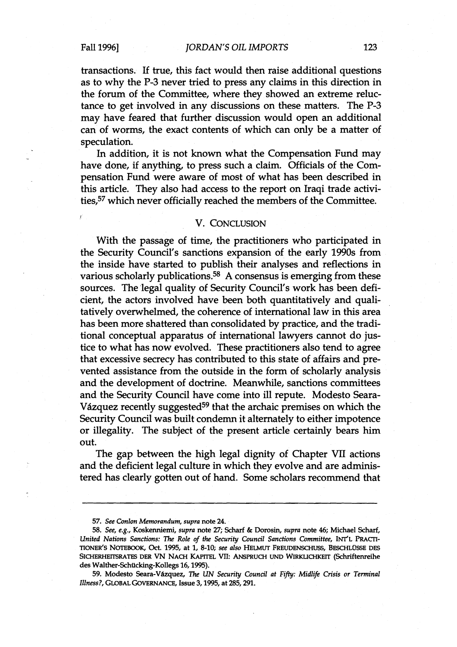transactions. If true, this fact would then raise additional questions as to why the **P-3** never tried to press any claims in this direction in the forum of the Committee, where they showed an extreme reluctance to get involved in any discussions on these matters. The **P-3**  may have feared that further discussion would open an additional can of worms, the exact contents of which can only be a matter of speculation.

In addition, it is not known what the Compensation Fund may have done, if anything, to press such a claim. Officials of the Compensation Fund were aware of most of what has been described in this article. They also had access to the report on Iraqi trade activities,<sup>57</sup> which never officially reached the members of the Committee.

#### V. CONCLUSION

With the passage of time, the practitioners who participated in the Security Council's sanctions expansion of the early 1990s from the inside have started to publish their analyses and reflections in various scholarly publications.58 **A** consensus is emerging from these sources. The legal quality of Security Council's work has been deficient, the actors involved have been both quantitatively and qualitatively overwhelmed, the coherence of international law in this area has been more shattered than consolidated by practice, and the traditional conceptual apparatus of international lawyers cannot do justice to what has now evolved. These practitioners also tend to agree that excessive secrecy has contributed to this state of affairs and prevented assistance from the outside in the form of scholarly analysis and the development of doctrine. Meanwhile, sanctions committees and the Security Council have come into ill repute. Modesto Seara-Vázquez recently suggested<sup>59</sup> that the archaic premises on which the Security Council was built condemn it alternately to either impotence or illegality. The subject of the present article certainly bears him out.

The gap between the high legal dignity of Chapter VII actions and the deficient legal culture in which they evolve and are administered has clearly gotten out of hand. Some scholars recommend that

*<sup>57.</sup> See Conlon Memorandum, supra* **note** *24.* 

<sup>58.</sup> *See, e.g.,* **Koskenniemi,** *supra* **note** 27; **!%barf** & **Dorosin,** *supra* **note 46; Michael Scharf,**  *United Nations Sanctions: The Role of the Security Council Sanctions Committee, INT'L PRACTI-***TIONER'S NOTEBOOK, Oct.** 1995, **at** 1, 8-10; *see also* **HELMUT FREUDENSCHUSS, BECHLUSSE DES**  SICHERHEITSRATES DER VN NACH KAPITEL VII: ANSPRUCH UND WIRKLICHKEIT (Schriftenreihe **des Walther-SchUcking-Kollegs** 16,1995).

<sup>59.</sup> Modesto Seara-Vázquez, *The UN Security Council at Fifty: Midlife Crisis or Terminal Illness?,* **GLOBAL GOVERNANCE, Issue** 3,1995, **at** 285,291.